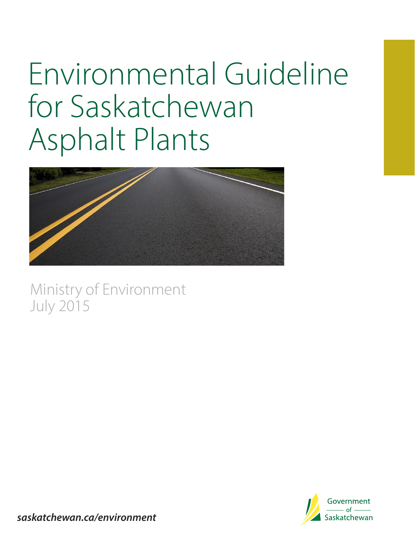# Environmental Guideline for Saskatchewan Asphalt Plants



Ministry of Environment July 2015



**saskatchewan.ca/environment**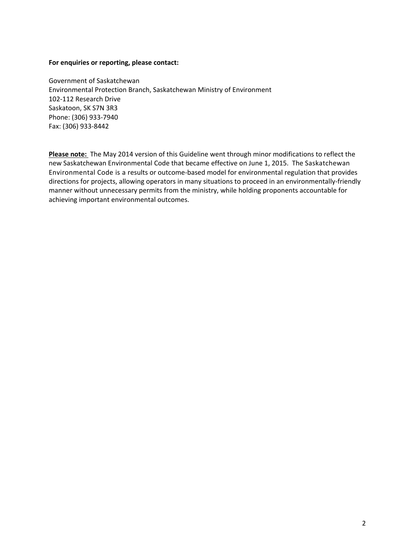#### **For enquiries or reporting, please contact:**

Government of Saskatchewan Environmental Protection Branch, Saskatchewan Ministry of Environment 102‐112 Research Drive Saskatoon, SK S7N 3R3 Phone: (306) 933‐7940 Fax: (306) 933‐8442

**Please note:** The May 2014 version of this Guideline went through minor modifications to reflect the new Saskatchewan Environmental Code that became effective on June 1, 2015. The Saskatchewan Environmental Code is a results or outcome‐based model for environmental regulation that provides directions for projects, allowing operators in many situations to proceed in an environmentally‐friendly manner without unnecessary permits from the ministry, while holding proponents accountable for achieving important environmental outcomes.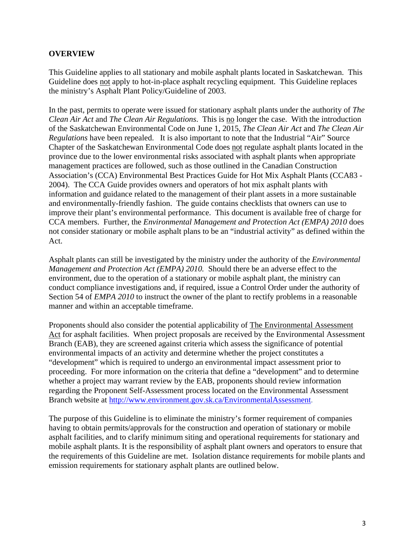#### **OVERVIEW**

This Guideline applies to all stationary and mobile asphalt plants located in Saskatchewan. This Guideline does not apply to hot-in-place asphalt recycling equipment. This Guideline replaces the ministry's Asphalt Plant Policy/Guideline of 2003.

In the past, permits to operate were issued for stationary asphalt plants under the authority of *The Clean Air Act* and *The Clean Air Regulations*. This is no longer the case. With the introduction of the Saskatchewan Environmental Code on June 1, 2015, *The Clean Air Act* and *The Clean Air Regulations* have been repealed. It is also important to note that the Industrial "Air" Source Chapter of the Saskatchewan Environmental Code does not regulate asphalt plants located in the province due to the lower environmental risks associated with asphalt plants when appropriate management practices are followed, such as those outlined in the Canadian Construction Association's (CCA) Environmental Best Practices Guide for Hot Mix Asphalt Plants (CCA83 - 2004). The CCA Guide provides owners and operators of hot mix asphalt plants with information and guidance related to the management of their plant assets in a more sustainable and environmentally-friendly fashion. The guide contains checklists that owners can use to improve their plant's environmental performance. This document is available free of charge for CCA members. Further, the *Environmental Management and Protection Act (EMPA) 2010* does not consider stationary or mobile asphalt plans to be an "industrial activity" as defined within the Act.

Asphalt plants can still be investigated by the ministry under the authority of the *Environmental Management and Protection Act (EMPA) 2010.* Should there be an adverse effect to the environment, due to the operation of a stationary or mobile asphalt plant, the ministry can conduct compliance investigations and, if required, issue a Control Order under the authority of Section 54 of *EMPA 2010* to instruct the owner of the plant to rectify problems in a reasonable manner and within an acceptable timeframe.

Proponents should also consider the potential applicability of The Environmental Assessment Act for asphalt facilities. When project proposals are received by the Environmental Assessment Branch (EAB), they are screened against criteria which assess the significance of potential environmental impacts of an activity and determine whether the project constitutes a "development" which is required to undergo an environmental impact assessment prior to proceeding. For more information on the criteria that define a "development" and to determine whether a project may warrant review by the EAB, proponents should review information regarding the Proponent Self-Assessment process located on the Environmental Assessment Branch website at http://www.environment.gov.sk.ca/EnvironmentalAssessment.

The purpose of this Guideline is to eliminate the ministry's former requirement of companies having to obtain permits/approvals for the construction and operation of stationary or mobile asphalt facilities, and to clarify minimum siting and operational requirements for stationary and mobile asphalt plants. It is the responsibility of asphalt plant owners and operators to ensure that the requirements of this Guideline are met. Isolation distance requirements for mobile plants and emission requirements for stationary asphalt plants are outlined below.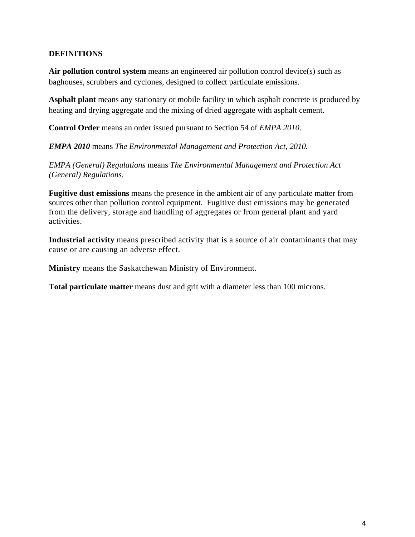### **DEFINITIONS**

**Air pollution control system** means an engineered air pollution control device(s) such as baghouses, scrubbers and cyclones, designed to collect particulate emissions.

**Asphalt plant** means any stationary or mobile facility in which asphalt concrete is produced by heating and drying aggregate and the mixing of dried aggregate with asphalt cement.

**Control Order** means an order issued pursuant to Section 54 of *EMPA 2010*.

*EMPA 2010* means *The Environmental Management and Protection Act, 2010.* 

*EMPA (General) Regulations* means *The Environmental Management and Protection Act (General) Regulations.* 

**Fugitive dust emissions** means the presence in the ambient air of any particulate matter from sources other than pollution control equipment. Fugitive dust emissions may be generated from the delivery, storage and handling of aggregates or from general plant and yard activities.

**Industrial activity** means prescribed activity that is a source of air contaminants that may cause or are causing an adverse effect.

**Ministry** means the Saskatchewan Ministry of Environment.

**Total particulate matter** means dust and grit with a diameter less than 100 microns.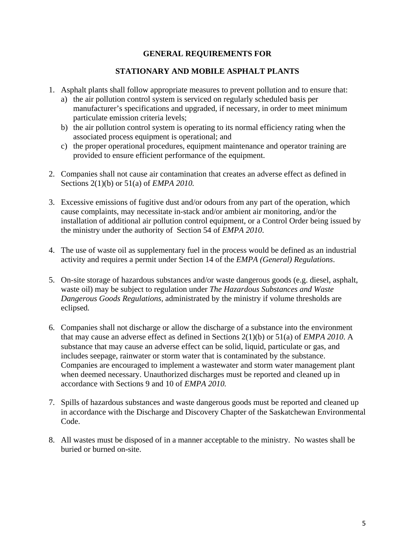#### **GENERAL REQUIREMENTS FOR**

### **STATIONARY AND MOBILE ASPHALT PLANTS**

- 1. Asphalt plants shall follow appropriate measures to prevent pollution and to ensure that:
	- a) the air pollution control system is serviced on regularly scheduled basis per manufacturer's specifications and upgraded, if necessary, in order to meet minimum particulate emission criteria levels;
	- b) the air pollution control system is operating to its normal efficiency rating when the associated process equipment is operational; and
	- c) the proper operational procedures, equipment maintenance and operator training are provided to ensure efficient performance of the equipment.
- 2. Companies shall not cause air contamination that creates an adverse effect as defined in Sections 2(1)(b) or 51(a) of *EMPA 2010.*
- 3. Excessive emissions of fugitive dust and/or odours from any part of the operation, which cause complaints, may necessitate in-stack and/or ambient air monitoring, and/or the installation of additional air pollution control equipment, or a Control Order being issued by the ministry under the authority of Section 54 of *EMPA 2010*.
- 4. The use of waste oil as supplementary fuel in the process would be defined as an industrial activity and requires a permit under Section 14 of the *EMPA (General) Regulations*.
- 5. On-site storage of hazardous substances and/or waste dangerous goods (e.g. diesel, asphalt, waste oil) may be subject to regulation under *The Hazardous Substances and Waste Dangerous Goods Regulations,* administrated by the ministry if volume thresholds are eclipsed*.*
- 6. Companies shall not discharge or allow the discharge of a substance into the environment that may cause an adverse effect as defined in Sections 2(1)(b) or 51(a) of *EMPA 2010*. A substance that may cause an adverse effect can be solid, liquid, particulate or gas, and includes seepage, rainwater or storm water that is contaminated by the substance. Companies are encouraged to implement a wastewater and storm water management plant when deemed necessary. Unauthorized discharges must be reported and cleaned up in accordance with Sections 9 and 10 of *EMPA 2010.*
- 7. Spills of hazardous substances and waste dangerous goods must be reported and cleaned up in accordance with the Discharge and Discovery Chapter of the Saskatchewan Environmental Code.
- 8. All wastes must be disposed of in a manner acceptable to the ministry. No wastes shall be buried or burned on-site.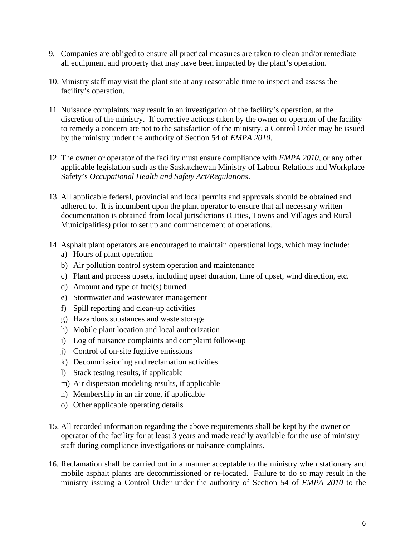- 9. Companies are obliged to ensure all practical measures are taken to clean and/or remediate all equipment and property that may have been impacted by the plant's operation.
- 10. Ministry staff may visit the plant site at any reasonable time to inspect and assess the facility's operation.
- 11. Nuisance complaints may result in an investigation of the facility's operation, at the discretion of the ministry. If corrective actions taken by the owner or operator of the facility to remedy a concern are not to the satisfaction of the ministry, a Control Order may be issued by the ministry under the authority of Section 54 of *EMPA 2010*.
- 12. The owner or operator of the facility must ensure compliance with *EMPA 2010,* or any other applicable legislation such as the Saskatchewan Ministry of Labour Relations and Workplace Safety's *Occupational Health and Safety Act/Regulations*.
- 13. All applicable federal, provincial and local permits and approvals should be obtained and adhered to. It is incumbent upon the plant operator to ensure that all necessary written documentation is obtained from local jurisdictions (Cities, Towns and Villages and Rural Municipalities) prior to set up and commencement of operations.
- 14. Asphalt plant operators are encouraged to maintain operational logs, which may include:
	- a) Hours of plant operation
	- b) Air pollution control system operation and maintenance
	- c) Plant and process upsets, including upset duration, time of upset, wind direction, etc.
	- d) Amount and type of fuel(s) burned
	- e) Stormwater and wastewater management
	- f) Spill reporting and clean-up activities
	- g) Hazardous substances and waste storage
	- h) Mobile plant location and local authorization
	- i) Log of nuisance complaints and complaint follow-up
	- j) Control of on-site fugitive emissions
	- k) Decommissioning and reclamation activities
	- l) Stack testing results, if applicable
	- m) Air dispersion modeling results, if applicable
	- n) Membership in an air zone, if applicable
	- o) Other applicable operating details
- 15. All recorded information regarding the above requirements shall be kept by the owner or operator of the facility for at least 3 years and made readily available for the use of ministry staff during compliance investigations or nuisance complaints.
- 16. Reclamation shall be carried out in a manner acceptable to the ministry when stationary and mobile asphalt plants are decommissioned or re-located. Failure to do so may result in the ministry issuing a Control Order under the authority of Section 54 of *EMPA 2010* to the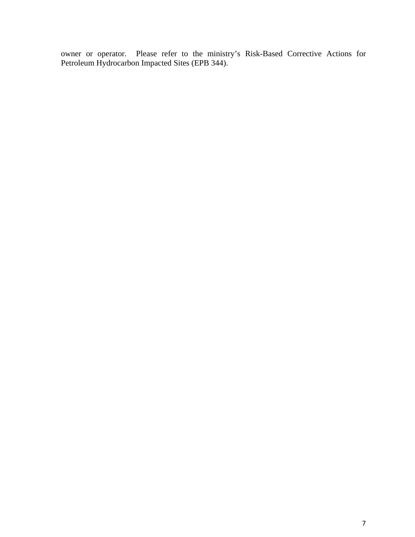owner or operator. Please refer to the ministry's Risk-Based Corrective Actions for Petroleum Hydrocarbon Impacted Sites (EPB 344).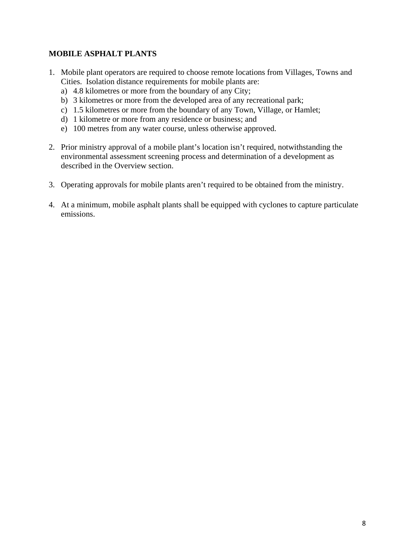## **MOBILE ASPHALT PLANTS**

- 1. Mobile plant operators are required to choose remote locations from Villages, Towns and Cities. Isolation distance requirements for mobile plants are:
	- a) 4.8 kilometres or more from the boundary of any City;
	- b) 3 kilometres or more from the developed area of any recreational park;
	- c) 1.5 kilometres or more from the boundary of any Town, Village, or Hamlet;
	- d) 1 kilometre or more from any residence or business; and
	- e) 100 metres from any water course, unless otherwise approved.
- 2. Prior ministry approval of a mobile plant's location isn't required, notwithstanding the environmental assessment screening process and determination of a development as described in the Overview section.
- 3. Operating approvals for mobile plants aren't required to be obtained from the ministry.
- 4. At a minimum, mobile asphalt plants shall be equipped with cyclones to capture particulate emissions.